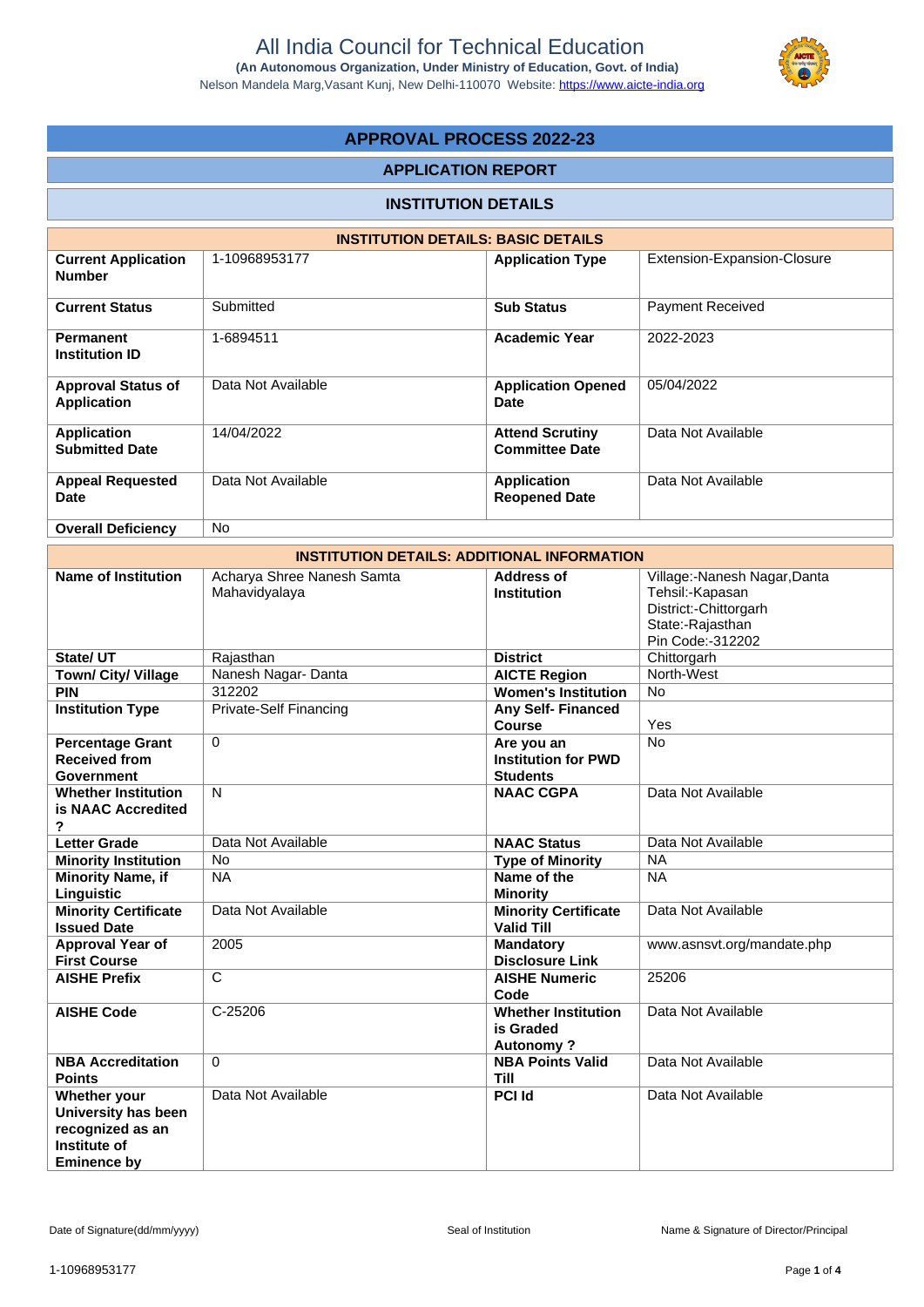

# **APPROVAL PROCESS 2022-23**

### **APPLICATION REPORT**

## **INSTITUTION DETAILS**

|                                                 | <b>INSTITUTION DETAILS: BASIC DETAILS</b> |                                                 |                             |
|-------------------------------------------------|-------------------------------------------|-------------------------------------------------|-----------------------------|
| <b>Current Application</b><br><b>Number</b>     | 1-10968953177                             | <b>Application Type</b>                         | Extension-Expansion-Closure |
| <b>Current Status</b>                           | Submitted                                 | <b>Sub Status</b>                               | <b>Payment Received</b>     |
| <b>Permanent</b><br><b>Institution ID</b>       | 1-6894511                                 | <b>Academic Year</b>                            | 2022-2023                   |
| <b>Approval Status of</b><br><b>Application</b> | Data Not Available                        | <b>Application Opened</b><br><b>Date</b>        | 05/04/2022                  |
| <b>Application</b><br><b>Submitted Date</b>     | 14/04/2022                                | <b>Attend Scrutiny</b><br><b>Committee Date</b> | Data Not Available          |
| <b>Appeal Requested</b><br><b>Date</b>          | Data Not Available                        | <b>Application</b><br><b>Reopened Date</b>      | Data Not Available          |
| <b>Overall Deficiency</b>                       | No.                                       |                                                 |                             |

|                                                                                                      |                                             | <b>INSTITUTION DETAILS: ADDITIONAL INFORMATION</b>          |                                                                                                                  |
|------------------------------------------------------------------------------------------------------|---------------------------------------------|-------------------------------------------------------------|------------------------------------------------------------------------------------------------------------------|
| <b>Name of Institution</b>                                                                           | Acharya Shree Nanesh Samta<br>Mahavidyalaya | <b>Address of</b><br><b>Institution</b>                     | Village:-Nanesh Nagar, Danta<br>Tehsil:-Kapasan<br>District:-Chittorgarh<br>State:-Rajasthan<br>Pin Code:-312202 |
| State/ UT                                                                                            | Rajasthan                                   | <b>District</b>                                             | Chittorgarh                                                                                                      |
| Town/ City/ Village                                                                                  | Nanesh Nagar- Danta                         | <b>AICTE Region</b>                                         | North-West                                                                                                       |
| <b>PIN</b>                                                                                           | 312202                                      | <b>Women's Institution</b>                                  | <b>No</b>                                                                                                        |
| <b>Institution Type</b>                                                                              | <b>Private-Self Financing</b>               | Any Self- Financed<br>Course                                | Yes                                                                                                              |
| <b>Percentage Grant</b><br><b>Received from</b><br>Government                                        | $\Omega$                                    | Are you an<br><b>Institution for PWD</b><br><b>Students</b> | <b>No</b>                                                                                                        |
| <b>Whether Institution</b><br>is NAAC Accredited<br>?                                                | $\mathsf{N}$                                | <b>NAAC CGPA</b>                                            | Data Not Available                                                                                               |
| <b>Letter Grade</b>                                                                                  | Data Not Available                          | <b>NAAC Status</b>                                          | Data Not Available                                                                                               |
| <b>Minority Institution</b>                                                                          | <b>No</b>                                   | <b>Type of Minority</b>                                     | <b>NA</b>                                                                                                        |
| <b>Minority Name, if</b><br>Linguistic                                                               | <b>NA</b>                                   | Name of the<br><b>Minority</b>                              | <b>NA</b>                                                                                                        |
| <b>Minority Certificate</b><br><b>Issued Date</b>                                                    | Data Not Available                          | <b>Minority Certificate</b><br><b>Valid Till</b>            | Data Not Available                                                                                               |
| Approval Year of<br><b>First Course</b>                                                              | 2005                                        | <b>Mandatory</b><br><b>Disclosure Link</b>                  | www.asnsvt.org/mandate.php                                                                                       |
| <b>AISHE Prefix</b>                                                                                  | C                                           | <b>AISHE Numeric</b><br>Code                                | 25206                                                                                                            |
| <b>AISHE Code</b>                                                                                    | C-25206                                     | <b>Whether Institution</b><br>is Graded<br><b>Autonomy?</b> | Data Not Available                                                                                               |
| <b>NBA Accreditation</b><br><b>Points</b>                                                            | 0                                           | <b>NBA Points Valid</b><br><b>Till</b>                      | Data Not Available                                                                                               |
| Whether your<br>University has been<br>recognized as an<br><b>Institute of</b><br><b>Eminence by</b> | Data Not Available                          | <b>PCI Id</b>                                               | Data Not Available                                                                                               |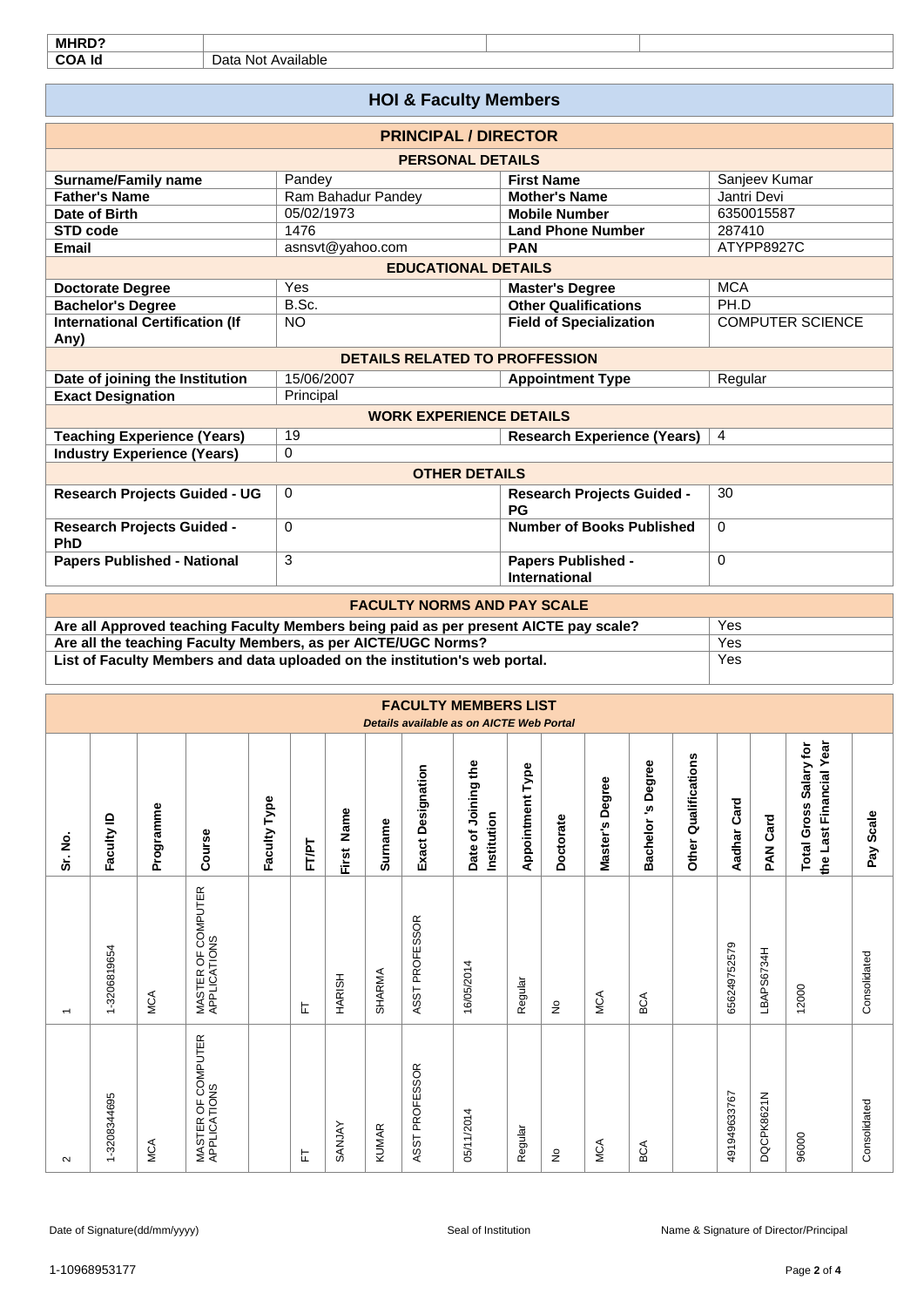| MHRD?                                    |                    |                                       |                                            |                         |  |  |  |  |  |  |  |  |
|------------------------------------------|--------------------|---------------------------------------|--------------------------------------------|-------------------------|--|--|--|--|--|--|--|--|
| <b>COA Id</b>                            | Data Not Available |                                       |                                            |                         |  |  |  |  |  |  |  |  |
|                                          |                    |                                       |                                            |                         |  |  |  |  |  |  |  |  |
| <b>HOI &amp; Faculty Members</b>         |                    |                                       |                                            |                         |  |  |  |  |  |  |  |  |
|                                          |                    | <b>PRINCIPAL / DIRECTOR</b>           |                                            |                         |  |  |  |  |  |  |  |  |
| <b>PERSONAL DETAILS</b>                  |                    |                                       |                                            |                         |  |  |  |  |  |  |  |  |
| <b>Surname/Family name</b>               |                    | Pandey                                | <b>First Name</b>                          | Sanjeev Kumar           |  |  |  |  |  |  |  |  |
| <b>Father's Name</b>                     |                    | Ram Bahadur Pandey                    | <b>Mother's Name</b>                       | Jantri Devi             |  |  |  |  |  |  |  |  |
| Date of Birth                            |                    | 05/02/1973                            | <b>Mobile Number</b>                       | 6350015587              |  |  |  |  |  |  |  |  |
| <b>STD</b> code                          |                    | 1476                                  | <b>Land Phone Number</b>                   | 287410                  |  |  |  |  |  |  |  |  |
| <b>Email</b>                             |                    | asnsvt@yahoo.com                      | <b>PAN</b>                                 | ATYPP8927C              |  |  |  |  |  |  |  |  |
| <b>EDUCATIONAL DETAILS</b>               |                    |                                       |                                            |                         |  |  |  |  |  |  |  |  |
| <b>Doctorate Degree</b>                  |                    | Yes                                   | <b>Master's Degree</b>                     | <b>MCA</b>              |  |  |  |  |  |  |  |  |
| <b>Bachelor's Degree</b>                 |                    | B.Sc.                                 | <b>Other Qualifications</b>                | PH.D                    |  |  |  |  |  |  |  |  |
| <b>International Certification (If</b>   | <b>NO</b>          |                                       | <b>Field of Specialization</b>             | <b>COMPUTER SCIENCE</b> |  |  |  |  |  |  |  |  |
| Any)                                     |                    |                                       |                                            |                         |  |  |  |  |  |  |  |  |
|                                          |                    | <b>DETAILS RELATED TO PROFFESSION</b> |                                            |                         |  |  |  |  |  |  |  |  |
| Date of joining the Institution          |                    | 15/06/2007                            | <b>Appointment Type</b>                    | Regular                 |  |  |  |  |  |  |  |  |
| <b>Exact Designation</b>                 |                    | Principal                             |                                            |                         |  |  |  |  |  |  |  |  |
|                                          |                    | <b>WORK EXPERIENCE DETAILS</b>        |                                            |                         |  |  |  |  |  |  |  |  |
| <b>Teaching Experience (Years)</b>       | 19                 |                                       | <b>Research Experience (Years)</b>         | $\overline{4}$          |  |  |  |  |  |  |  |  |
| <b>Industry Experience (Years)</b>       | $\Omega$           |                                       |                                            |                         |  |  |  |  |  |  |  |  |
|                                          |                    | <b>OTHER DETAILS</b>                  |                                            |                         |  |  |  |  |  |  |  |  |
| <b>Research Projects Guided - UG</b>     | 0                  |                                       | <b>Research Projects Guided -</b><br>PG    | 30                      |  |  |  |  |  |  |  |  |
| <b>Research Projects Guided -</b><br>PhD | $\Omega$           |                                       | <b>Number of Books Published</b>           | $\Omega$                |  |  |  |  |  |  |  |  |
| <b>Papers Published - National</b>       | 3                  |                                       | <b>Papers Published -</b><br>International | $\Omega$                |  |  |  |  |  |  |  |  |

| <b>FACULTY NORMS AND PAY SCALE</b>                                                   |     |
|--------------------------------------------------------------------------------------|-----|
| Are all Approved teaching Faculty Members being paid as per present AICTE pay scale? | Yes |
| Are all the teaching Faculty Members, as per AICTE/UGC Norms?                        | Yes |
| List of Faculty Members and data uploaded on the institution's web portal.           | Yes |

|                          | <b>FACULTY MEMBERS LIST</b><br>Details available as on AICTE Web Portal |           |                                    |                 |       |               |              |                          |                                    |                         |                    |                 |                             |                             |                |            |                                                   |              |
|--------------------------|-------------------------------------------------------------------------|-----------|------------------------------------|-----------------|-------|---------------|--------------|--------------------------|------------------------------------|-------------------------|--------------------|-----------------|-----------------------------|-----------------------------|----------------|------------|---------------------------------------------------|--------------|
| Sr. No.                  | Faculty ID                                                              | Programme | Course                             | Type<br>Faculty | FT/PT | Name<br>First | Surname      | <b>Exact Designation</b> | Date of Joining the<br>Institution | <b>Appointment Type</b> | Doctorate          | Master's Degree | s Degree<br><b>Bachelor</b> | <b>Other Qualifications</b> | Card<br>Aadhar | PAN Card   | the Last Financial Year<br>Total Gross Salary for | Scale<br>Pay |
| $\overline{\phantom{0}}$ | 1-3206819654                                                            | MCA       | MASTER OF COMPUTER<br>APPLICATIONS |                 | ᄂ     | <b>HARISH</b> | SHARMA       | ASST PROFESSOR           | 16/05/2014                         | Regular                 | $\hat{\mathsf{z}}$ | MCA             | ВCА                         |                             | 656249752579   | LBAPS6734H | 12000                                             | Consolidated |
| $\sim$                   | 1-3208344695                                                            | MCA       | MASTER OF COMPUTER<br>APPLICATIONS |                 | 岀     | <b>SANJAY</b> | <b>KUMAR</b> | ASST PROFESSOR           | 05/11/2014                         | Regular                 | $\frac{\circ}{2}$  | MCA             | ВCА                         |                             | 491949633767   | DQCPK8621N | 96000                                             | Consolidated |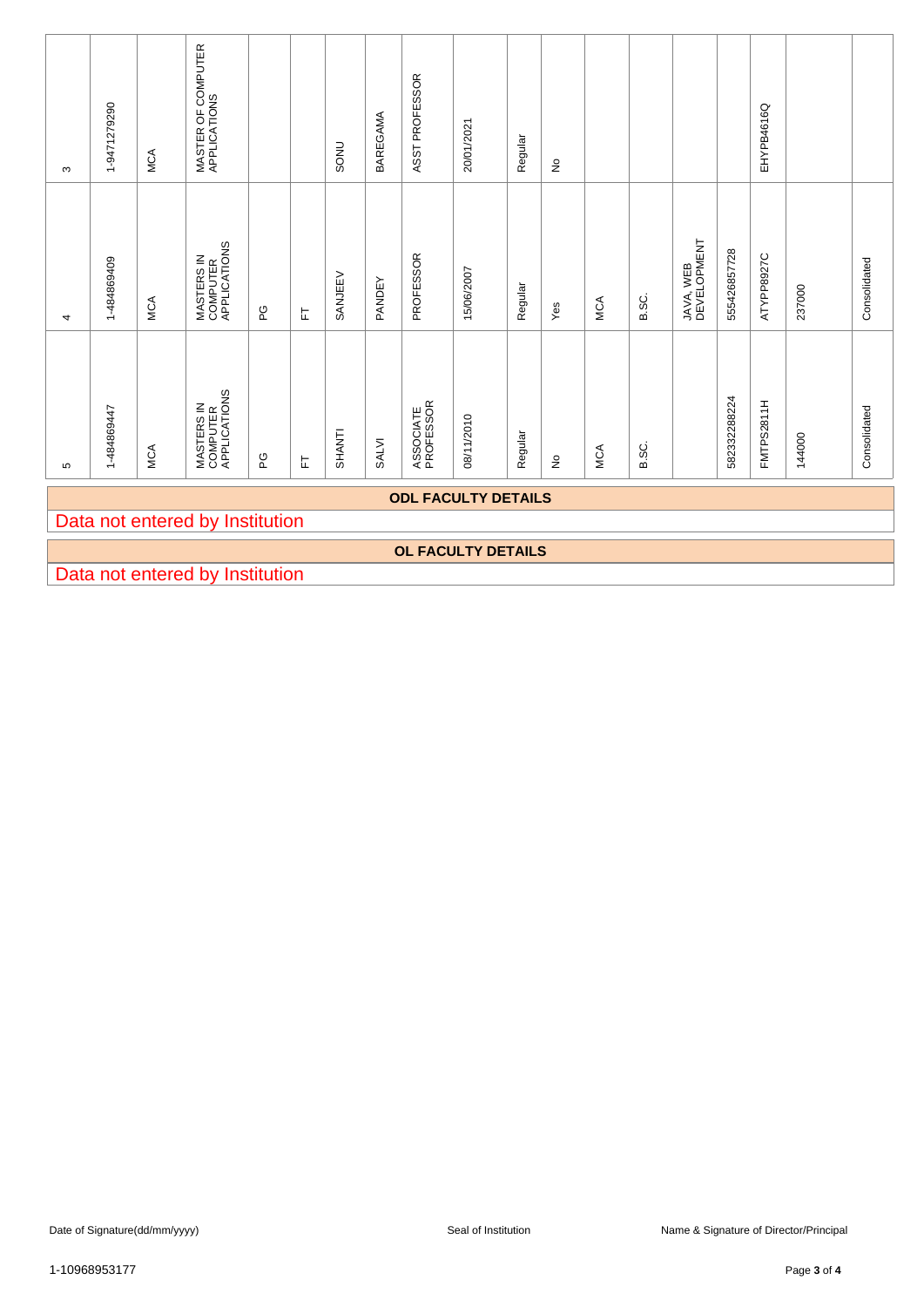| ო | 1-9471279290                    | MCA        | MASTER OF COMPUTER<br>APPLICATIONS     |         |   | SONU          | BAREGAMA | ASST PROFESSOR         | 20/01/2021 | Regular | $\frac{1}{2}$ |     |              |                          |              | EHYPB4616Q        |        |              |
|---|---------------------------------|------------|----------------------------------------|---------|---|---------------|----------|------------------------|------------|---------|---------------|-----|--------------|--------------------------|--------------|-------------------|--------|--------------|
| 4 | 1-484869409                     | <b>MCA</b> | MASTERS IN<br>COMPUTER<br>APPLICATIONS | PG      | 눈 | SANJEEV       | PANDEY   | PROFESSOR              | 15/06/2007 | Regular | Yes           | MCA | <b>B.SC.</b> | JAVA, WEB<br>DEVELOPMENT | 555426857728 | ATYPP8927C        | 237000 | Consolidated |
| ഥ | 1-484869447                     | <b>MCA</b> | MASTERS IN<br>COMPUTER<br>APPLICATIONS | CO<br>L | 匸 | <b>SHANTI</b> | SALVI    | ASSOCIATE<br>PROFESSOR | 08/11/2010 | Regular | $\frac{1}{2}$ | MCA | <b>B.SC.</b> |                          | 582332288224 | <b>FMTPS2811H</b> | 144000 | Consolidated |
|   | <b>ODL FACULTY DETAILS</b>      |            |                                        |         |   |               |          |                        |            |         |               |     |              |                          |              |                   |        |              |
|   | Data not entered by Institution |            |                                        |         |   |               |          |                        |            |         |               |     |              |                          |              |                   |        |              |
|   | <b>OL FACULTY DETAILS</b>       |            |                                        |         |   |               |          |                        |            |         |               |     |              |                          |              |                   |        |              |
|   | Data not entered by Institution |            |                                        |         |   |               |          |                        |            |         |               |     |              |                          |              |                   |        |              |